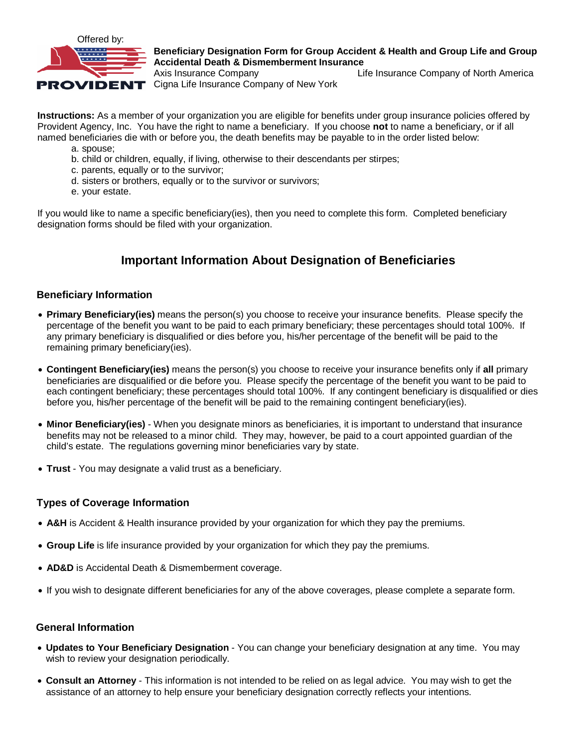

## **Beneficiary Designation Form for Group Accident & Health and Group Life and Group Accidental Death & Dismemberment Insurance**

Axis Insurance Company Life Insurance Company of North America PROVIDENT Cigna Life Insurance Company of New York

**Instructions:** As a member of your organization you are eligible for benefits under group insurance policies offered by Provident Agency, Inc. You have the right to name a beneficiary. If you choose **not** to name a beneficiary, or if all named beneficiaries die with or before you, the death benefits may be payable to in the order listed below:

- a. spouse;
- b. child or children, equally, if living, otherwise to their descendants per stirpes;
- c. parents, equally or to the survivor;
- d. sisters or brothers, equally or to the survivor or survivors;
- e. your estate.

If you would like to name a specific beneficiary(ies), then you need to complete this form. Completed beneficiary designation forms should be filed with your organization.

# **Important Information About Designation of Beneficiaries**

### **Beneficiary Information**

- **Primary Beneficiary(ies)** means the person(s) you choose to receive your insurance benefits. Please specify the percentage of the benefit you want to be paid to each primary beneficiary; these percentages should total 100%. If any primary beneficiary is disqualified or dies before you, his/her percentage of the benefit will be paid to the remaining primary beneficiary(ies).
- **Contingent Beneficiary(ies)** means the person(s) you choose to receive your insurance benefits only if **all** primary beneficiaries are disqualified or die before you. Please specify the percentage of the benefit you want to be paid to each contingent beneficiary; these percentages should total 100%. If any contingent beneficiary is disqualified or dies before you, his/her percentage of the benefit will be paid to the remaining contingent beneficiary(ies).
- **Minor Beneficiary(ies)** When you designate minors as beneficiaries, it is important to understand that insurance benefits may not be released to a minor child. They may, however, be paid to a court appointed guardian of the child's estate. The regulations governing minor beneficiaries vary by state.
- **Trust** You may designate a valid trust as a beneficiary.

### **Types of Coverage Information**

- **A&H** is Accident & Health insurance provided by your organization for which they pay the premiums.
- **Group Life** is life insurance provided by your organization for which they pay the premiums.
- **AD&D** is Accidental Death & Dismemberment coverage.
- If you wish to designate different beneficiaries for any of the above coverages, please complete a separate form.

#### **General Information**

- **Updates to Your Beneficiary Designation** You can change your beneficiary designation at any time. You may wish to review your designation periodically.
- **Consult an Attorney** This information is not intended to be relied on as legal advice. You may wish to get the assistance of an attorney to help ensure your beneficiary designation correctly reflects your intentions.